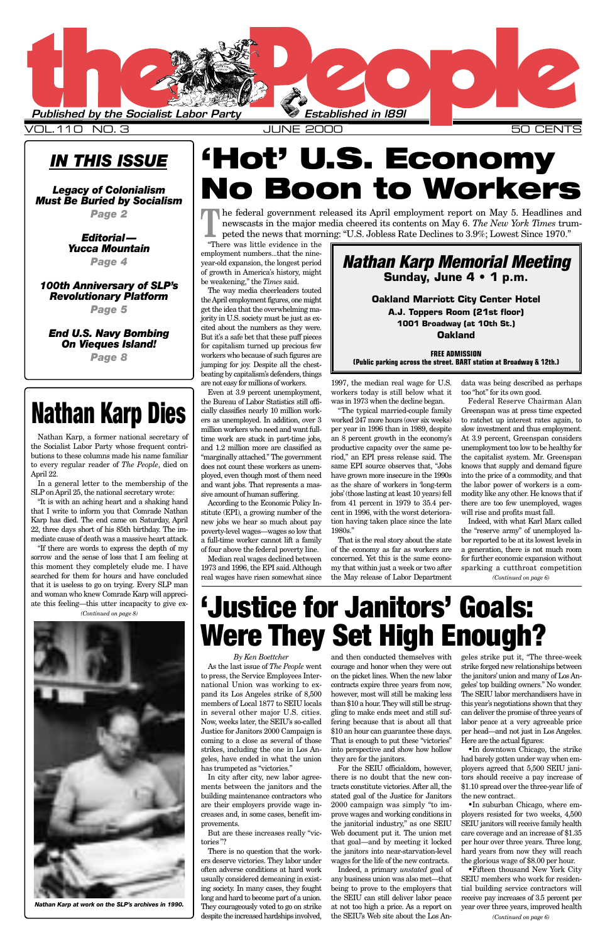### *IN THIS ISSUE*

#### *Legacy of Colonialism Must Be Buried by Socialism*

*Page 2*

*Editorial— Yucca Mountain*

*Page 4*

#### *100th Anniversary of SLP's Revolutionary Platform*

*Page 5*

*End U.S. Navy Bombing On Vieques Island!*

*Page 8*

*By Ken Boettcher* As the last issue of *The People* went to press, the Service Employees International Union was working to expand its Los Angeles strike of 8,500 members of Local 1877 to SEIU locals in several other major U.S. cities. Now, weeks later, the SEIU's so-called Justice for Janitors 2000 Campaign is coming to a close as several of those strikes, including the one in Los Angeles, have ended in what the union has trumpeted as "victories." In city after city, new labor agreements between the janitors and the building maintenance contractors who are their employers provide wage increases and, in some cases, benefit improvements. But are these increases really "victories"? There is no question that the workers deserve victories. They labor under often adverse conditions at hard work usually considered demeaning in existing society. In many cases, they fought long and hard to become part of a union. They courageously voted to go on strike despite the increased hardships involved,

and then conducted themselves with courage and honor when they were out on the picket lines. When the new labor contracts expire three years from now, however, most will still be making less than \$10 a hour. They will still be struggling to make ends meet and still suffering because that is about all that \$10 an hour can guarantee these days. That is enough to put these "victories" into perspective and show how hollow they are for the janitors. For the SEIU officialdom, however, there is no doubt that the new contracts constitute victories. After all, the stated goal of the Justice for Janitors 2000 campaign was simply "to improve wages and working conditions in the janitorial industry," as one SEIU Web document put it. The union met that goal—and by meeting it locked the janitors into near-starvation-level wages for the life of the new contracts. Indeed, a primary *unstated* goal of any business union was also met—that being to prove to the employers that the SEIU can still deliver labor peace at not too high a price. As a report on the SEIU's Web site about the Los An-

geles strike put it, "The three-week strike forged new relationships between the janitors' union and many of Los Angeles' top building owners." No wonder. The SEIU labor merchandisers have in this year's negotiations shown that they can deliver the promise of three years of labor peace at a very agreeable price per head—and not just in Los Angeles. Here are the actual figures: •In downtown Chicago, the strike had barely gotten under way when employers agreed that 5,500 SEIU janitors should receive a pay increase of \$1.10 spread over the three-year life of the new contract. •In suburban Chicago, where employers resisted for two weeks, 4,500 SEIU janitors will receive family health care coverage and an increase of \$1.35 per hour over three years. Three long, hard years from now they will reach the glorious wage of \$8.00 per hour. •Fifteen thousand New York City SEIU members who work for residential building service contractors will receive pay increases of 3.5 percent per year over three years, improved health



VOL.110 NO. 3 JUNE 2000 50 CENTS

"There was little evidence in the employment numbers...that the nineyear-old expansion, the longest period of growth in America's history, might be weakening," the *Times* said.

The way media cheerleaders touted the April employment figures, one might get the idea that the overwhelming majority in U.S. society must be just as excited about the numbers as they were. But it's a safe bet that these puff pieces for capitalism turned up precious few workers who because of such figures are jumping for joy. Despite all the chestbeating by capitalism's defenders, things are not easy for millions of workers.

Even at 3.9 percent unemployment, the Bureau of Labor Statistics still officially classifies nearly 10 million workers as unemployed. In addition, over 3 million workers who need and want fulltime work are stuck in part-time jobs, and 1.2 million more are classified as "marginally attached." The government does not count these workers as unemployed, even though most of them need and want jobs. That represents a massive amount of human suffering.

According to the Economic Policy Institute (EPI), a growing number of the new jobs we hear so much about pay poverty-level wages—wages so low that a full-time worker cannot lift a family of four above the federal poverty line.

Median real wages declined between 1973 and 1996, the EPI said. Although real wages have risen somewhat since 1997, the median real wage for U.S. workers today is still below what it was in 1973 when the decline began.

"The typical married-couple family worked 247 more hours (over six weeks) per year in 1996 than in 1989, despite an 8 percent growth in the economy's productive capacity over the same period," an EPI press release said. The same EPI source observes that, "Jobs have grown more insecure in the 1990s as the share of workers in 'long-term jobs'(those lasting at least 10 years) fell from 41 percent in 1979 to 35.4 percent in 1996, with the worst deterioration having taken place since the late 1980s."

That is the real story about the state of the economy as far as workers are concerned. Yet this is the same economy that within just a week or two after the May release of Labor Department

data was being described as perhaps too "hot" for its own good.

Federal Reserve Chairman Alan Greenspan was at press time expected to ratchet up interest rates again, to slow investment and thus employment. At 3.9 percent, Greenspan considers unemployment too low to be healthy for the capitalist system. Mr. Greenspan knows that supply and demand figure into the price of a commodity, and that the labor power of workers is a commodity like any other. He knows that if there are too few unemployed, wages will rise and profits must fall.

Nathan Karp, a former national secretary of the Socialist Labor Party whose frequent contributions to these columns made his name familiar to every regular reader of *The People*, died on April 22.

In a general letter to the membership of the SLP on April 25, the national secretary wrote:

> Indeed, with what Karl Marx called the "reserve army" of unemployed labor reported to be at its lowest levels in a generation, there is not much room for further economic expansion without sparking a cutthroat competition *(Continued on page 6)*

"It is with an aching heart and a shaking hand that I write to inform you that Comrade Nathan Karp has died. The end came on Saturday, April 22, three days short of his 85th birthday. The immediate cause of death was a massive heart attack.

"If there are words to express the depth of my sorrow and the sense of loss that I am feeling at this moment they completely elude me. I have searched for them for hours and have concluded that it is useless to go on trying. Every SLP man and woman who knew Comrade Karp will appreciate this feeling—this utter incapacity to give ex-

## **'Hot' U.S. Economy No Boon to Workers**

## **'Justice for Janitors' Goals: Were They Set High Enough?**

*(Continued on page 8)*



*(Continued on page 6)*

### *Nathan Karp Memorial Meeting* **Sunday, June 4 • 1 p.m.**

**Oakland Marriott City Center Hotel A.J. Toppers Room (21st floor) 1001 Broadway (at 10th St.) Oakland**

**FREE ADMISSION (Public parking across the street. BART station at Broadway & 12th.)**

**T**he federal government released its April employment report on May 5. Headlines and newscasts in the major media cheered its contents on May 6. *The New York Times* trumpeted the news that morning: "U.S. Jobless Rate Declines to 3.9%; Lowest Since 1970."

*Nathan Karp at work on the SLP's archives in 1990.*

## **Nathan Karp Dies**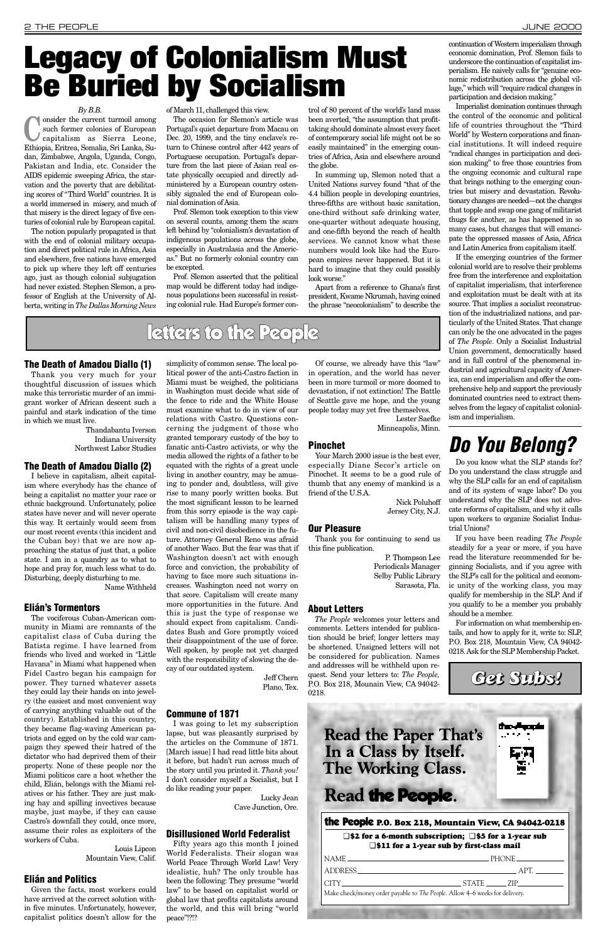#### **The Death of Amadou Diallo (1)**

Thank you very much for your thoughtful discussion of issues which make this terroristic murder of an immigrant worker of African descent such a painful and stark indication of the time in which we must live.

> Thandabantu Iverson Indiana University Northwest Labor Studies

#### **The Death of Amadou Diallo (2)**

I believe in capitalism, albeit capitalism where everybody has the chance of being a capitalist no matter your race or ethnic background. Unfortunately, police states have never and will never operate this way. It certainly would seem from our most recent events (this incident and the Cuban boy) that we are now approaching the status of just that, a police state. I am in a quandry as to what to hope and pray for, much less what to do. Disturbing, deeply disturbing to me.

Name Withheld

#### **Elián's Tormentors**

The vociferous Cuban-American community in Miami are remnants of the capitalist class of Cuba during the Batista regime. I have learned from friends who lived and worked in "Little Havana" in Miami what happened when Fidel Castro began his campaign for power. They turned whatever assets they could lay their hands on into jewelry (the easiest and most convenient way of carrying anything valuable out of the country). Established in this country, they became flag-waving American patriots and egged on by the cold war campaign they spewed their hatred of the dictator who had deprived them of their property. None of these people nor the Miami politicos care a hoot whether the child, Elián, belongs with the Miami relatives or his father. They are just making hay and spilling invectives because maybe, just maybe, if they can cause Castro's downfall they could, once more, assume their roles as exploiters of the workers of Cuba.

> Louis Lipcon Mountain View, Calif.

#### **Elián and Politics**

Given the facts, most workers could have arrived at the correct solution within five minutes. Unfortunately, however, capitalist politics doesn't allow for the

Consider the current turmoil among<br>capitalism as Sierra Leone, such former colonies of European Ethiopia, Eritrea, Somalia, Sri Lanka, Sudan, Zimbabwe, Angola, Uganda, Congo, Pakistan and India, etc. Consider the AIDS epidemic sweeping Africa, the starvation and the poverty that are debilitating scores of "Third World" countries. It is a world immersed in misery, and much of that misery is the direct legacy of five centuries of colonial rule by European capital.

> simplicity of common sense. The local political power of the anti-Castro faction in Miami must be weighed, the politicians in Washington must decide what side of the fence to ride and the White House must examine what to do in view of our relations with Castro. Questions concerning the judgment of those who granted temporary custody of the boy to fanatic anti-Castro activists, or why the media allowed the rights of a father to be equated with the rights of a great uncle living in another country, may be amusing to ponder and, doubtless, will give rise to many poorly written books. But the most significant lesson to be learned from this sorry episode is the way capitalism will be handling many types of civil and non-civil disobedience in the future. Attorney General Reno was afraid of another Waco. But the fear was that if Washington doesn't act with enough force and conviction, the probability of having to face more such situations increases. Washington need not worry on that score. Capitalism will create many more opportunities in the future. And this is just the type of response we should expect from capitalism. Candidates Bush and Gore promptly voiced their disappointment of the use of force. Well spoken, by people not yet charged with the responsibility of slowing the decay of our outdated system.

> > Jeff Chern Plano, Tex.

#### **Commune of 1871**

I was going to let my subscription lapse, but was pleasantly surprised by the articles on the Commune of 1871. [March issue] I had read little bits about it before, but hadn't run across much of the story until you printed it. *Thank you!* I don't consider myself a Socialist, but I do like reading your paper.

> Lucky Jean Cave Junction, Ore.

#### **Disillusioned World Federalist**

Fifty years ago this month I joined World Federalists. Their slogan was World Peace Through World Law! Very idealistic, huh? The only trouble has been the following: They presume "world law" to be based on capitalist world or global law that profits capitalists around the world, and this will bring "world peace"!?!?

Of course, we already have this "law" in operation, and the world has never been in more turmoil or more doomed to devastation, if not extinction! The Battle of Seattle gave me hope, and the young people today may yet free themselves.

> Lester Saefke Minneapolis, Minn.

#### **Pinochet**

Your March 2000 issue is the best ever, especially Diane Secor's article on Pinochet. It seems to be a good rule of thumb that any enemy of mankind is a friend of the U.S.A.

> Nick Poluhoff Jersey City, N.J.

#### **Our Pleasure**

Thank you for continuing to send us this fine publication.

> P. Thompson Lee Periodicals Manager Selby Public Library Sarasota, Fla.

#### *By B.B.*

The notion popularly propagated is that with the end of colonial military occupation and direct political rule in Africa, Asia and elsewhere, free nations have emerged to pick up where they left off centuries ago, just as though colonial subjugation had never existed. Stephen Slemon, a professor of English at the University of Alberta, writing in *The Dallas Morning News*

of March 11, challenged this view.

The occasion for Slemon's article was Portugal's quiet departure from Macau on Dec. 20, 1999, and the tiny enclave's return to Chinese control after 442 years of Portuguese occupation. Portugal's departure from the last piece of Asian real estate physically occupied and directly administered by a European country ostensibly signaled the end of European colonial domination of Asia.

Prof. Slemon took exception to this view on several counts, among them the scars left behind by "colonialism's devastation of indigenous populations across the globe, especially in Australasia and the Americas." But no formerly colonial country can be excepted.

Prof. Slemon asserted that the political map would be different today had indigenous populations been successful in resisting colonial rule. Had Europe's former con-

trol of 80 percent of the world's land mass been averted, "the assumption that profittaking should dominate almost every facet of contemporary social life might not be so easily maintained" in the emerging countries of Africa, Asia and elsewhere around the globe.

In summing up, Slemon noted that a United Nations survey found "that of the 4.4 billion people in developing countries, three-fifths are without basic sanitation, one-third without safe drinking water, one-quarter without adequate housing, and one-fifth beyond the reach of health services. We cannot know what these numbers would look like had the European empires never happened. But it is hard to imagine that they could possibly look worse."

Apart from a reference to Ghana's first president, Kwame Nkrumah, having coined the phrase "neocolonialism" to describe the

## **Legacy of Colonialism Must Be Buried by Socialism**

continuation of Western imperialism through economic domination, Prof. Slemon fails to underscore the continuation of capitalist imperialism. He naively calls for "genuine economic redistribution across the global village," which will "require radical changes in participation and decision making."

Imperialist domination continues through the control of the economic and political life of countries throughout the "Third World" by Western corporations and financial institutions. It will indeed require "radical changes in participation and decision making" to free those countries from the ongoing economic and cultural rape that brings nothing to the emerging countries but misery and devastation. Revolutionary changes are needed—not the changes that topple and swap one gang of militarist thugs for another, as has happened in so many cases, but changes that will emancipate the oppressed masses of Asia, Africa and Latin America from capitalism itself.

If the emerging countries of the former colonial world are to resolve their problems free from the interference and exploitation of capitalist imperialism, that interference and exploitation must be dealt with at its source. That implies a socialist reconstruction of the industrialized nations, and particularly of the United States. That change can only be the one advocated in the pages of *The People*. Only a Socialist Industrial Union government, democratically based and in full control of the phenomenal industrial and agricultural capacity of America, can end imperialism and offer the comprehensive help and support the previously dominated countries need to extract themselves from the legacy of capitalist colonialism and imperialism.

*Do You Belong?*

Do you know what the SLP stands for? Do you understand the class struggle and why the SLP calls for an end of capitalism and of its system of wage labor? Do you understand why the SLP does not advocate reforms of capitalism, and why it calls upon workers to organize Socialist Industrial Unions?

If you have been reading *The People* steadily for a year or more, if you have read the literature recommended for beginning Socialists, and if you agree with the SLP's call for the political and economic unity of the working class, you may qualify for membership in the SLP. And if you qualify to be a member you probably should be a member.

For information on what membership entails, and how to apply for it, write to: SLP, P.O. Box 218, Mountain View, CA 94042- 0218. Ask for the SLP Membership Packet.





## letters to the People

#### **About Letters**

*The People* welcomes your letters and comments. Letters intended for publication should be brief; longer letters may be shortened. Unsigned letters will not be considered for publication. Names and addresses will be withheld upon request. Send your letters to: *The People,* P.O. Box 218, Mounain View, CA 94042- 0218.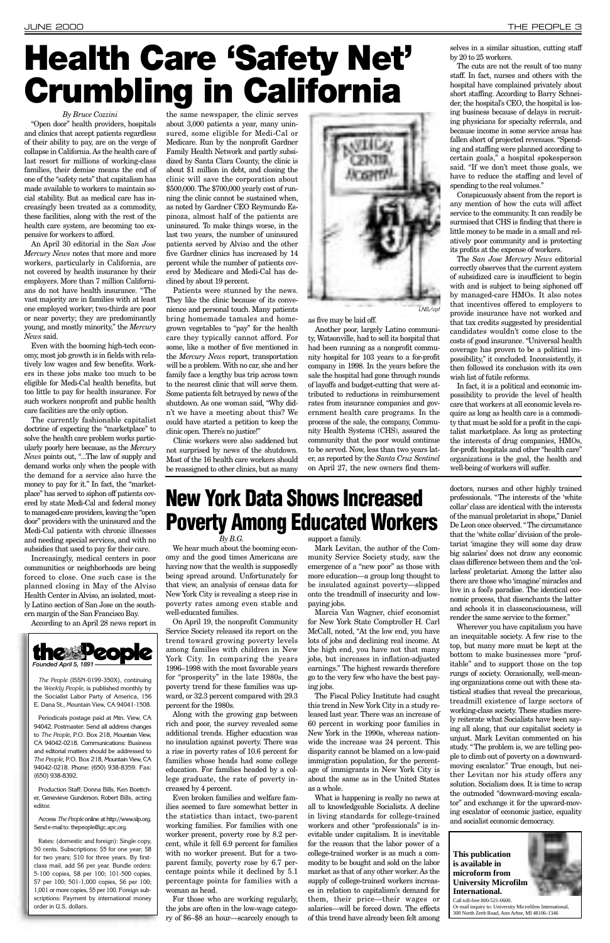*By Bruce Cozzini*

"Open door" health providers, hospitals and clinics that accept patients regardless of their ability to pay, are on the verge of collapse in California. As the health care of last resort for millions of working-class families, their demise means the end of one of the "safety nets" that capitalism has made available to workers to maintain social stability. But as medical care has increasingly been treated as a commodity, these facilities, along with the rest of the health care system, are becoming too expensive for workers to afford.

An April 30 editorial in the *San Jose Mercury News* notes that more and more workers, particularly in California, are not covered by health insurance by their employers. More than 7 million Californians do not have health insurance. "The vast majority are in families with at least one employed worker; two-thirds are poor or near poverty; they are predominantly young, and mostly minority," the *Mercury News* said.

Even with the booming high-tech economy, most job growth is in fields with relatively low wages and few benefits. Workers in these jobs make too much to be eligible for Medi-Cal health benefits, but too little to pay for health insurance. For such workers nonprofit and public health care facilities are the only option.

The currently fashionable capitalist doctrine of expecting the "marketplace" to solve the health care problem works particularly poorly here because, as the *Mercury News* points out, "...The law of supply and demand works only when the people with the demand for a service also have the money to pay for it." In fact, the "marketplace" has served to siphon off patients covered by state Medi-Cal and federal money to managed-care providers, leaving the "open door" providers with the uninsured and the Medi-Cal patients with chronic illnesses and needing special services, and with no subsidies that used to pay for their care.

Increasingly, medical centers in poor communities or neighborhoods are being forced to close. One such case is the planned closing in May of the Alviso Health Center in Alviso, an isolated, mostly Latino section of San Jose on the southern margin of the San Francisco Bay.

According to an April 28 news report in

the same newspaper, the clinic serves about 3,000 patients a year, many uninsured, some eligible for Medi-Cal or Medicare. Run by the nonprofit Gardner Family Health Network and partly subsidized by Santa Clara County, the clinic is about \$1 million in debt, and closing the clinic will save the corporation about \$500,000. The \$700,000 yearly cost of running the clinic cannot be sustained when, as noted by Gardner CEO Reymundo Espinoza, almost half of the patients are uninsured. To make things worse, in the last two years, the number of uninsured patients served by Alviso and the other five Gardner clinics has increased by 14 percent while the number of patients covered by Medicare and Medi-Cal has declined by about 19 percent.

Patients were stunned by the news. They like the clinic because of its convenience and personal touch. Many patients bring homemade tamales and homegrown vegetables to "pay" for the health care they typically cannot afford. For some, like a mother of five mentioned in the *Mercury News* report, transportation will be a problem. With no car, she and her family face a lengthy bus trip across town to the nearest clinic that will serve them. Some patients felt betrayed by news of the shutdown. As one woman said, "Why didn't we have a meeting about this? We could have started a petition to keep the clinic open. There's no justice!"

Clinic workers were also saddened but not surprised by news of the shutdown. Most of the 16 health care workers should be reassigned to other clinics, but as many as five may be laid off.

Another poor, largely Latino community, Watsonville, had to sell its hospital that had been running as a nonprofit community hospital for 103 years to a for-profit company in 1998. In the years before the sale the hospital had gone through rounds of layoffs and budget-cutting that were attributed to reductions in reimbursement rates from insurance companies and government health care programs. In the process of the sale, the company, Community Health Systems (CHS), assured the community that the poor would continue to be served. Now, less than two years later, as reported by the *Santa Cruz Sentinel* on April 27, the new owners find themselves in a similar situation, cutting staff by 20 to 25 workers.

The cuts are not the result of too many staff. In fact, nurses and others with the hospital have complained privately about short staffing. According to Barry Schneider, the hospital's CEO, the hospital is losing business because of delays in recruiting physicians for specialty referrals, and because income in some service areas has fallen short of projected revenues. "Spending and staffing were planned according to certain goals," a hospital spokesperson said. "If we don't meet those goals, we have to reduce the staffing and level of spending to the real volumes."

Conspicuously absent from the report is any mention of how the cuts will affect service to the community. It can readily be surmised that CHS is finding that there is little money to be made in a small and relatively poor community and is protecting its profits at the expense of workers.

The *San Jose Mercury News* editorial correctly observes that the current system of subsidized care is insufficient to begin with and is subject to being siphoned off by managed-care HMOs. It also notes that incentives offered to employers to provide insurance have not worked and that tax credits suggested by presidential candidates wouldn't come close to the costs of good insurance. "Universal health coverage has proven to be a political impossibility," it concluded. Inconsistently, it then followed its conclusion with its own wish list of futile reforms.

In fact, it is a political and economic impossibility to provide the level of health care that workers at all economic levels require as long as health care is a commodity that must be sold for a profit in the capitalist marketplace. As long as protecting the interests of drug companies, HMOs, for-profit hospitals and other "health care" organizations is the goal, the health and well-being of workers will suffer.



*The People* (ISSN-0199-350X), continuing the *Weekly People*, is published monthly by the Socialist Labor Party of America, 156 E. Dana St., Mountain View, CA 94041-1508.

Periodicals postage paid at Mtn. View, CA 94042. Postmaster: Send all address changes to *The People*, P.O. Box 218, Mountain View, CA 94042-0218. Communications: Business and editorial matters should be addressed to *The People*, P.O. Box 218, Mountain View, CA 94042-0218. Phone: (650) 938-8359. Fax: (650) 938-8392.

Production Staff: Donna Bills, Ken Boettcher, Genevieve Gunderson. Robert Bills, acting editor.

Access *The People* online at http://www.slp.org. Send e-mail to: thepeople@igc.apc.org.

Rates: (domestic and foreign): Single copy, 50 cents. Subscriptions: \$5 for one year; \$8 for two years; \$10 for three years. By firstclass mail, add \$6 per year. Bundle orders: 5-100 copies, \$8 per 100; 101-500 copies, \$7 per 100; 501-1,000 copies, \$6 per 100; 1,001 or more copies, \$5 per 100. Foreign subscriptions: Payment by international money order in U.S. dollars.

*By B.G.*

We hear much about the booming economy and the good times Americans are having now that the wealth is supposedly being spread around. Unfortunately for that view, an analysis of census data for New York City is revealing a steep rise in poverty rates among even stable and well-educated families.

On April 19, the nonprofit Community Service Society released its report on the trend toward growing poverty levels among families with children in New York City. In comparing the years 1996–1998 with the most favorable years for "prosperity" in the late 1980s, the poverty trend for these families was upward, or 32.3 percent compared with 29.3 percent for the 1980s. Along with the growing gap between rich and poor, the survey revealed some additional trends. Higher education was no insulation against poverty. There was a rise in poverty rates of 10.6 percent for families whose heads had some college education. For families headed by a college graduate, the rate of poverty increased by 4 percent. Even broken families and welfare families seemed to fare somewhat better in the statistics than intact, two-parent working families. For families with one worker present, poverty rose by 8.2 percent, while it fell 6.9 percent for families with no worker present. But for a twoparent family, poverty rose by 6.7 percentage points while it declined by 5.1 percentage points for families with a woman as head. For those who are working regularly, the jobs are often in the low-wage category of \$6–\$8 an hour—scarcely enough to

#### support a family.

Mark Levitan, the author of the Community Service Society study, saw the emergence of a "new poor" as those with more education—a group long thought to be insulated against poverty—slipped onto the treadmill of insecurity and lowpaying jobs.

Marcia Van Wagner, chief economist for New York State Comptroller H. Carl McCall, noted, "At the low end, you have lots of jobs and declining real income. At the high end, you have not that many jobs, but increases in inflation-adjusted earnings." The highest rewards therefore go to the very few who have the best paying jobs.

The Fiscal Policy Institute had caught this trend in New York City in a study released last year. There was an increase of 60 percent in working poor families in New York in the 1990s, whereas nationwide the increase was 24 percent. This disparity cannot be blamed on a low-paid immigration population, for the percentage of immigrants in New York City is about the same as in the United States as a whole. What is happening is really no news at all to knowledgeable Socialists. A decline in living standards for college-trained workers and other "professionals" is inevitable under capitalism. It is inevitable for the reason that the labor power of a college-trained worker is as much a commodity to be bought and sold on the labor market as that of any other worker. As the supply of college-trained workers increases in relation to capitalism's demand for them, their price—their wages or salaries—will be forced down. The effects of this trend have already been felt among

doctors, nurses and other highly trained professionals. "The interests of the 'white collar'class are identical with the interests of the manual proletariat in shops," Daniel De Leon once observed. "The circumstance that the 'white collar' division of the proletariat 'imagine they will some day draw big salaries' does not draw any economic class difference between them and the 'collarless' proletariat. Among the latter also there are those who 'imagine'miracles and live in a fool's paradise. The identical economic process, that disenchants the latter and schools it in classconsciousness, will render the same service to the former."

Wherever you have capitalism you have an inequitable society. A few rise to the top, but many more must be kept at the bottom to make businesses more "profitable" and to support those on the top rungs of society. Occasionally, well-meaning organizations come out with these statistical studies that reveal the precarious, treadmill existence of large sectors of working-class society. These studies merely reiterate what Socialists have been saying all along, that our capitalist society is unjust. Mark Levitan commented on his study. "The problem is, we are telling people to climb out of poverty on a downwardmoving escalator." True enough, but neither Levitan nor his study offers any solution. Socialism does. It is time to scrap the outmoded "downward-moving escalator" and exchange it for the upward-moving escalator of economic justice, equality and socialist economic democracy.



## **Health Care 'Safety Net' Crumbling in California**

### **New York Data Shows Increased Poverty Among Educated Workers**



Call toll-free 800-521-0600. Or mail inquiry to: University Microfilms International, 300 North Zeeb Road, Ann Arbor, MI 48106-1346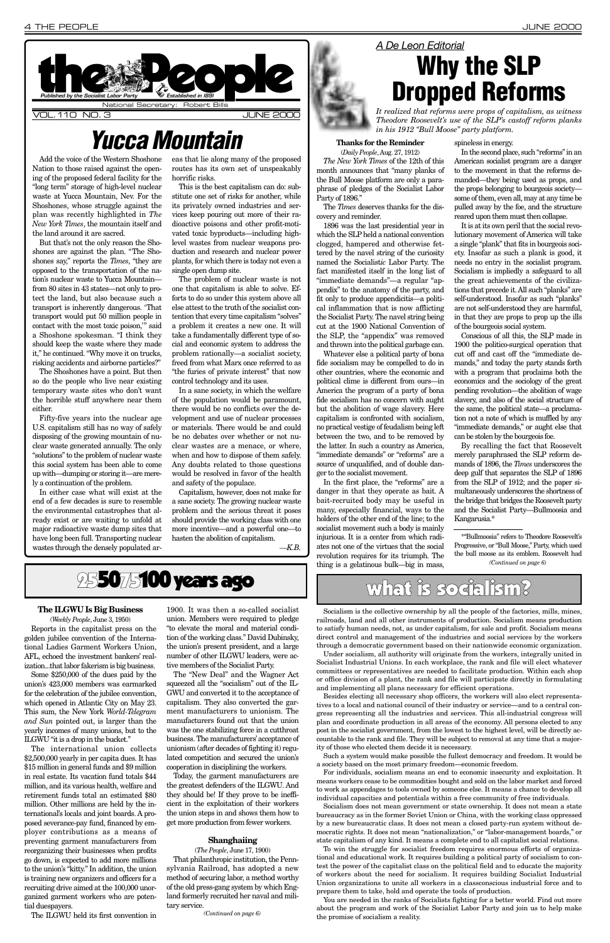Add the voice of the Western Shoshone Nation to those raised against the opening of the proposed federal facility for the "long term" storage of high-level nuclear waste at Yucca Mountain, Nev. For the Shoshones, whose struggle against the plan was recently highlighted in *The New York Times*, the mountain itself and the land around it are sacred.

But that's not the only reason the Shoshones are against the plan. "The Shoshones say," reports the *Times*, "they are opposed to the transportation of the nation's nuclear waste to Yucca Mountain from 80 sites in 43 states—not only to protect the land, but also because such a transport is inherently dangerous. 'That transport would put 50 million people in contact with the most toxic poison,'" said a Shoshone spokesman. "I think they should keep the waste where they made it," he continued. "Why move it on trucks, risking accidents and airborne particles?"

The Shoshones have a point. But then so do the people who live near existing temporary waste sites who don't want the horrible stuff anywhere near them either.

Fifty-five years into the nuclear age U.S. capitalism still has no way of safely disposing of the growing mountain of nuclear waste generated annually. The only "solutions" to the problem of nuclear waste this social system has been able to come up with—dumping or storing it—are merely a continuation of the problem.

In either case what will exist at the end of a few decades is sure to resemble the environmental catastrophes that already exist or are waiting to unfold at major radioactive waste dump sites that have long been full. Transporting nuclear wastes through the densely populated ar-

eas that lie along many of the proposed routes has its own set of unspeakably horrific risks.

This is the best capitalism can do: substitute one set of risks for another, while its privately owned industries and services keep pouring out more of their radioactive poisons and other profit-motivated toxic byproducts—including highlevel wastes from nuclear weapons production and research and nuclear power plants, for which there is today not even a single open dump site.

The problem of nuclear waste is not one that capitalism is able to solve. Efforts to do so under this system above all else attest to the truth of the socialist contention that every time capitalism "solves" a problem it creates a new one. It will take a fundamentally different type of social and economic system to address the problem rationally—a socialist society, freed from what Marx once referred to as "the furies of private interest" that now control technology and its uses.

In a sane society, in which the welfare of the population would be paramount, there would be no conflicts over the development and use of nuclear processes or materials. There would be and could be no debates over whether or not nuclear wastes are a menace, or where, when and how to dispose of them safely. Any doubts related to those questions would be resolved in favor of the health and safety of the populace.

Capitalism, however, does not make for a sane society. The growing nuclear waste problem and the serious threat it poses should provide the working class with one more incentive—and a powerful one—to hasten the abolition of capitalism.

*—K.B.*

### 255075100 years ago

#### **Thanks for the Reminder** (*Daily People*, Aug. 27, 1912)



*The New York Times* of the 12th of this month announces that "many planks of the Bull Moose platform are only a paraphrase of pledges of the Socialist Labor Party of 1896."

The *Times* deserves thanks for the discovery and reminder.

1896 was the last presidential year in which the SLP held a national convention clogged, hampered and otherwise fettered by the navel string of the curiosity named the Socialist*ic* Labor Party. The fact manifested itself in the long list of "immediate demands"—a regular "appendix" to the anatomy of the party, and fit only to produce appendicitis—a political inflammation that is now afflicting the Socialist Party. The navel string being cut at the 1900 National Convention of the SLP, the "appendix" was removed and thrown into the political garbage can.

Whatever else a political party of bona fide socialism may be compelled to do in other countries, where the economic and political clime is different from ours—in America the program of a party of bona fide socialism has no concern with aught but the abolition of wage slavery. Here capitalism is confronted with socialism, no practical vestige of feudalism being left between the two, and to be removed by the latter. In such a country as America, "immediate demands" or "reforms" are a source of unqualified, and of double danger to the socialist movement.

In the first place, the "reforms" are a danger in that they operate as bait. A bait-recruited body may be useful in many, especially financial, ways to the holders of the other end of the line; to the socialist movement such a body is mainly injurious. It is a center from which radiates not one of the virtues that the social revolution requires for its triumph. The thing is a gelatinous bulk—big in mass,

spineless in energy.

In the second place, such "reforms" in an American socialist program are a danger to the movement in that the reforms demanded—they being used as props, and the props belonging to bourgeois society some of them, even all, may at any time be pulled away by the foe, and the structure reared upon them must then collapse.

It is at its own peril that the social revolutionary movement of America will take a single "plank" that fits in bourgeois society. Insofar as such a plank is good, it needs no entry in the socialist program. Socialism is impliedly a safeguard to all the great achievements of the civilizations that precede it. All such "planks" are self-understood. Insofar as such "planks" are not self-understood they are harmful, in that they are props to prop up the ills of the bourgeois social system.

Conscious of all this, the SLP made in 1900 the politico-surgical operation that cut off and cast off the "immediate demands," and today the party stands forth with a program that proclaims both the economics and the sociology of the great pending revolution—the abolition of wage slavery, and also of the social structure of the same, the political state—a proclamation not a note of which is muffled by any "immediate demands," or aught else that can be stolen by the bourgeois foe.

By recalling the fact that Roosevelt merely paraphrased the SLP reform demands of 1896, the *Times* underscores the deep gulf that separates the SLP of 1896 from the SLP of 1912; and the paper simultaneously underscores the shortness of the bridge that bridges the Roosevelt party and the Socialist Party—Bullmoosia and Kangarusia.\*

### *Yucca Mountain*

### *A De Leon Editorial* **Why the SLP Dropped Reforms**

*It realized that reforms were props of capitalism, as witness Theodore Roosevelt's use of the SLP's castoff reform planks in his 1912 "Bull Moose" party platform.*

### what is socialism?

Socialism is the collective ownership by all the people of the factories, mills, mines, railroads, land and all other instruments of production. Socialism means production to satisfy human needs, not, as under capitalism, for sale and profit. Socialism means direct control and management of the industries and social services by the workers through a democratic government based on their nationwide economic organization.

Under socialism, all authority will originate from the workers, integrally united in Socialist Industrial Unions. In each workplace, the rank and file will elect whatever committees or representatives are needed to facilitate production. Within each shop or office division of a plant, the rank and file will participate directly in formulating and implementing all plans necessary for efficient operations. Besides electing all necessary shop officers, the workers will also elect representatives to a local and national council of their industry or service—and to a central congress representing all the industries and services. This all-industrial congress will plan and coordinate production in all areas of the economy. All persons elected to any post in the socialist government, from the lowest to the highest level, will be directly accountable to the rank and file. They will be subject to removal at any time that a majority of those who elected them decide it is necessary. Such a system would make possible the fullest democracy and freedom. It would be a society based on the most primary freedom—economic freedom.

\*"Bullmoosia" refers to Theodore Roosevelt's Progressive, or "Bull Moose," Party, which used the bull moose as its emblem. Roosevelt had *(Continued on page 6)*

For individuals, socialism means an end to economic insecurity and exploitation. It means workers cease to be commodities bought and sold on the labor market and forced to work as appendages to tools owned by someone else. It means a chance to develop all individual capacities and potentials within a free community of free individuals.

Socialism does not mean government or state ownership. It does not mean a state bureaucracy as in the former Soviet Union or China, with the working class oppressed by a new bureaucratic class. It does not mean a closed party-run system without democratic rights. It does not mean "nationalization," or "labor-management boards," or state capitalism of any kind. It means a complete end to all capitalist social relations.

To win the struggle for socialist freedom requires enormous efforts of organizational and educational work. It requires building a political party of socialism to contest the power of the capitalist class on the political field and to educate the majority of workers about the need for socialism. It requires building Socialist Industrial Union organizations to unite all workers in a classconscious industrial force and to prepare them to take, hold and operate the tools of production.

You are needed in the ranks of Socialists fighting for a better world. Find out more about the program and work of the Socialist Labor Party and join us to help make the promise of socialism a reality.

#### **The ILGWU Is Big Business**

(*Weekly People*, June 3, 1950) Reports in the capitalist press on the golden jubilee convention of the International Ladies Garment Workers Union, AFL, echoed the investment bankers' realization...that labor fakerism is big business.

Some \$250,000 of the dues paid by the union's 423,000 members was earmarked for the celebration of the jubilee convention, which opened in Atlantic City on May 23. This sum, the New York *World-Telegram and Sun* pointed out, is larger than the yearly incomes of many unions, but to the ILGWU "it is a drop in the bucket." The international union collects \$2,500,000 yearly in per capita dues. It has \$15 million in general funds and \$9 million in real estate. Its vacation fund totals \$44 million, and its various health, welfare and retirement funds total an estimated \$80 million. Other millions are held by the international's locals and joint boards. A proposed severance-pay fund, financed by employer contributions as a means of preventing garment manufacturers from reorganizing their businesses when profits go down, is expected to add more millions to the union's "kitty." In addition, the union is training new organizers and officers for a recruiting drive aimed at the 100,000 unorganized garment workers who are potential duespayers.

The ILGWU held its first convention in

1900. It was then a so-called socialist union. Members were required to pledge "to elevate the moral and material condition of the working class." David Dubinsky, the union's present president, and a large number of other ILGWU leaders, were active members of the Socialist Party.

The "New Deal" and the Wagner Act squeezed all the "socialism" out of the IL-GWU and converted it to the acceptance of capitalism. They also converted the garment manufacturers to unionism. The manufacturers found out that the union was the one stabilizing force in a cutthroat business. The manufacturers'acceptance of unionism (after decades of fighting it) regulated competition and secured the union's cooperation in disciplining the workers. Today, the garment manufacturers are the greatest defenders of the ILGWU. And they should be! If they prove to be inefficient in the exploitation of their workers the union steps in and shows them how to get more production from fewer workers.

#### **Shanghaiing**

(*The People*, June 17, 1900) That philanthropic institution, the Pennsylvania Railroad, has adopted a new method of securing labor, a method worthy of the old press-gang system by which England formerly recruited her naval and military service.

*(Continued on page 6)*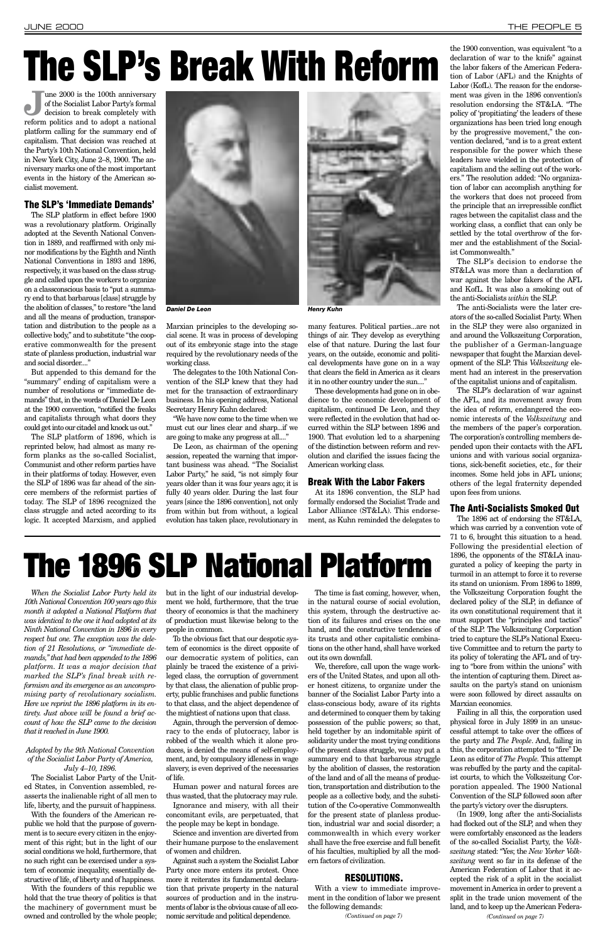**June 2000 is the 100th anniversary<br>
of the Socialist Labor Party's formal<br>
decision to break completely with<br>
referm polities and to adopt a patient** of the Socialist Labor Party's formal reform politics and to adopt a national platform calling for the summary end of capitalism. That decision was reached at the Party's 10th National Convention, held in New York City, June 2–8, 1900. The anniversary marks one of the most important events in the history of the American socialist movement.

#### **The SLP's 'Immediate Demands'**

The SLP platform in effect before 1900 was a revolutionary platform. Originally adopted at the Seventh National Convention in 1889, and reaffirmed with only minor modifications by the Eighth and Ninth National Conventions in 1893 and 1896, respectively, it was based on the class struggle and called upon the workers to organize on a classconscious basis to "put a summary end to that barbarous [class] struggle by the abolition of classes," to restore "the land and all the means of production, transportation and distribution to the people as a collective body," and to substitute "the cooperative commonwealth for the present state of planless production, industrial war and social disorder...."

But appended to this demand for the "summary" ending of capitalism were a number of resolutions or "immediate demands" that, in the words of Daniel De Leon at the 1900 convention, "notified the freaks and capitalists through what doors they could get into our citadel and knock us out."

The SLP platform of 1896, which is reprinted below, had almost as many reform planks as the so-called Socialist, Communist and other reform parties have in their platforms of today. However, even the SLP of 1896 was far ahead of the sincere members of the reformist parties of today. The SLP of 1896 recognized the class struggle and acted according to its logic. It accepted Marxism, and applied



**Daniel De Leon Henry Kuhn** 

Marxian principles to the developing social scene. It was in process of developing out of its embryonic stage into the stage required by the revolutionary needs of the working class.

The delegates to the 10th National Convention of the SLP knew that they had met for the transaction of extraordinary business. In his opening address, National Secretary Henry Kuhn declared:

"We have now come to the time when we must cut our lines clear and sharp...if we are going to make any progress at all...."

De Leon, as chairman of the opening session, repeated the warning that important business was ahead. "The Socialist Labor Party," he said, "is not simply four years older than it was four years ago; it is fully 40 years older. During the last four years [since the 1896 convention], not only from within but from without, a logical evolution has taken place, revolutionary in



many features. Political parties...are not things of air. They develop as everything else of that nature. During the last four years, on the outside, economic and political developments have gone on in a way that clears the field in America as it clears it in no other country under the sun...."

These developments had gone on in obedience to the economic development of capitalism, continued De Leon, and they were reflected in the evolution that had occurred within the SLP between 1896 and 1900. That evolution led to a sharpening of the distinction between reform and revolution and clarified the issues facing the American working class.

#### **Break With the Labor Fakers**

At its 1896 convention, the SLP had formally endorsed the Socialist Trade and Labor Alliance (ST&LA). This endorsement, as Kuhn reminded the delegates to the 1900 convention, was equivalent "to a declaration of war to the knife" against the labor fakers of the American Federation of Labor (AFL) and the Knights of Labor (KofL). The reason for the endorsement was given in the 1896 convention's resolution endorsing the ST&LA. "The policy of 'propitiating' the leaders of these organizations has been tried long enough by the progressive movement," the convention declared, "and is to a great extent responsible for the power which these leaders have wielded in the protection of capitalism and the selling out of the workers." The resolution added: "No organization of labor can accomplish anything for the workers that does not proceed from the principle that an irrepressible conflict rages between the capitalist class and the working class, a conflict that can only be settled by the total overthrow of the former and the establishment of the Socialist Commonwealth."

The SLP's decision to endorse the ST&LA was more than a declaration of war against the labor fakers of the AFL and KofL. It was also a smoking out of the anti-Socialists *within* the SLP.

The anti-Socialists were the later creators of the so-called Socialist Party. When in the SLP they were also organized in and around the Volkszeitung Corporation, the publisher of a German-language newspaper that fought the Marxian development of the SLP. This *Volkszeitung* element had an interest in the preservation of the capitalist unions and of capitalism.

The SLP's declaration of war against the AFL, and its movement away from the idea of reform, endangered the economic interests of the *Volkszeitung* and the members of the paper's corporation. The corporation's controlling members depended upon their contacts with the AFL unions and with various social organizations, sick-benefit societies, etc., for their incomes. Some held jobs in AFL unions; others of the legal fraternity depended upon fees from unions.

#### **The Anti-Socialists Smoked Out**

The 1896 act of endorsing the ST&LA, which was carried by a convention vote of 71 to 6, brought this situation to a head. Following the presidential election of 1896, the opponents of the ST&LA inaugurated a policy of keeping the party in turmoil in an attempt to force it to reverse its stand on unionism. From 1896 to 1899, the Volkszeitung Corporation fought the declared policy of the SLP, in defiance of its own constitutional requirement that it must support the "principles and tactics" of the SLP. The Volkszeitung Corporation tried to capture the SLP's National Executive Committee and to return the party to its policy of tolerating the AFL and of trying to "bore from within the unions" with the intention of capturing them. Direct assaults on the party's stand on unionism were soon followed by direct assaults on Marxian economics. Failing in all this, the corporation used physical force in July 1899 in an unsuccessful attempt to take over the offices of the party and *The People*. And, failing in this, the corporation attempted to "fire" De Leon as editor of *The People.* This attempt was rebuffed by the party and the capitalist courts, to which the Volkszeitung Corporation appealed. The 1900 National Convention of the SLP followed soon after the party's victory over the disrupters. (In 1909, long after the anti-Socialists had flocked out of the SLP, and when they were comfortably ensconced as the leaders of the so-called Socialist Party, the *Volkszeitung* stated: "Yes; the *New Yorker Volkszeitung* went so far in its defense of the American Federation of Labor that it accepted the risk of a split in the socialist movement in America in order to prevent a split in the trade union movement of the land, and to keep up the American Federa-

# **The SLP's Break With Reform**

*When the Socialist Labor Party held its 10th National Convention 100 years ago this month it adopted a National Platform that was identical to the one it had adopted at its Ninth National Convention in 1896 in every respect but one. The exception was the deletion of 21 Resolutions, or "immediate demands," that had been appended to the 1896 platform. It was a major decision that marked the SLP's final break with reformism and its emergence as an uncompromising party of revolutionary socialism. Here we reprint the 1896 platform in its entirety. Just above will be found a brief account of how the SLP came to the decision that it reached in June 1900.* 

#### *Adopted by the 9th National Convention of the Socialist Labor Party of America, July 4–10, 1896.*

The Socialist Labor Party of the United States, in Convention assembled, reasserts the inalienable right of all men to life, liberty, and the pursuit of happiness.

With the founders of the American republic we hold that the purpose of government is to secure every citizen in the enjoyment of this right; but in the light of our social conditions we hold, furthermore, that no such right can be exercised under a system of economic inequality, essentially destructive of life, of liberty and of happiness.

With the founders of this republic we hold that the true theory of politics is that the machinery of government must be owned and controlled by the whole people; but in the light of our industrial development we hold, furthermore, that the true theory of economics is that the machinery of production must likewise belong to the people in common.

To the obvious fact that our despotic system of economics is the direct opposite of our democratic system of politics, can plainly be traced the existence of a privileged class, the corruption of government by that class, the alienation of public property, public franchises and public functions to that class, and the abject dependence of the mightiest of nations upon that class. Again, through the perversion of democracy to the ends of plutocracy, labor is robbed of the wealth which it alone produces, is denied the means of self-employment, and, by compulsory idleness in wage slavery, is even deprived of the necessaries of life.

Human power and natural forces are thus wasted, that the plutocracy may rule. Ignorance and misery, with all their concomitant evils, are perpetuated, that the people may be kept in bondage.

Science and invention are diverted from their humane purpose to the enslavement of women and children.

Against such a system the Socialist Labor Party once more enters its protest. Once more it reiterates its fundamental declaration that private property in the natural sources of production and in the instruments of labor is the obvious cause of all economic servitude and political dependence.

The time is fast coming, however, when, in the natural course of social evolution, this system, through the destructive action of its failures and crises on the one hand, and the constructive tendencies of its trusts and other capitalistic combinations on the other hand, shall have worked out its own downfall.

We, therefore, call upon the wage workers of the United States, and upon all other honest citizens, to organize under the banner of the Socialist Labor Party into a class-conscious body, aware of its rights and determined to conquer them by taking possession of the public powers; so that, held together by an indomitable spirit of solidarity under the most trying conditions of the present class struggle, we may put a summary end to that barbarous struggle by the abolition of classes, the restoration of the land and of all the means of production, transportation and distribution to the people as a collective body, and the substitution of the Co-operative Commonwealth for the present state of planless production, industrial war and social disorder; a commonwealth in which every worker shall have the free exercise and full benefit of his faculties, multiplied by all the modern factors of civilization.

#### **RESOLUTIONS.**

With a view to immediate improvement in the condition of labor we present the following demands:

## **The 1896 SLP National Platform**

*(Continued on page 7) (Continued on page 7)*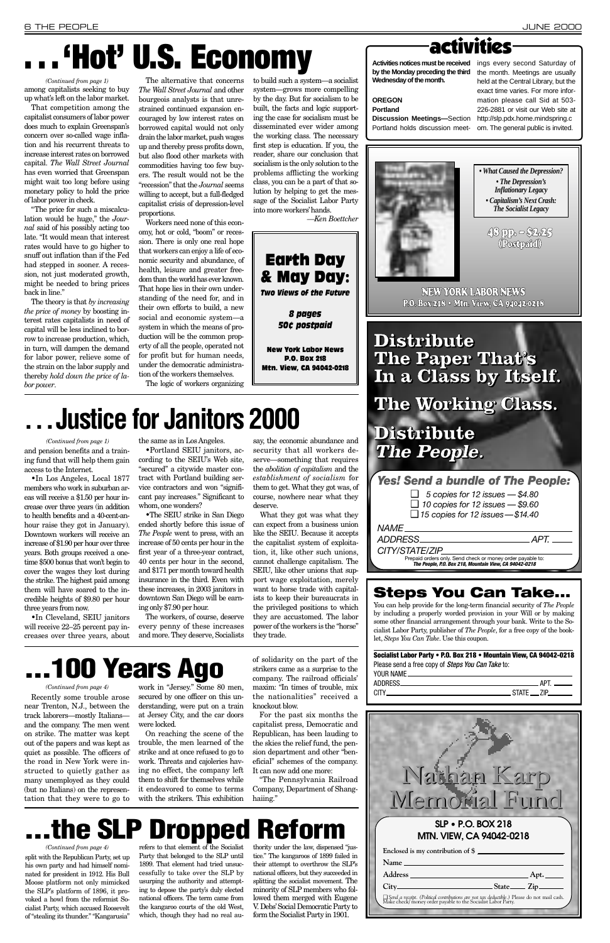refers to that element of the Socialist Party that belonged to the SLP until 1899. That element had tried unsuccessfully to take over the SLP by usurping the authority and attempting to depose the party's duly elected national officers. The term came from the kangaroo courts of the old West, which, though they had no real authority under the law, dispensed "justice." The kangaroos of 1899 failed in their attempt to overthrow the SLP's national officers, but they succeeded in splitting the socialist movement. The minority of SLP members who followed them merged with Eugene V. Debs'Social Democratic Party to form the Socialist Party in 1901.

Recently some trouble arose near Trenton, N.J., between the track laborers—mostly Italians and the company. The men went on strike. The matter was kept out of the papers and was kept as quiet as possible. The officers of the road in New York were instructed to quietly gather as many unemployed as they could (but no Italians) on the representation that they were to go to

secured by one officer on this understanding, were put on a train at Jersey City, and the car doors were locked.

On reaching the scene of the trouble, the men learned of the strike and at once refused to go to work. Threats and cajoleries having no effect, the company left them to shift for themselves while it endeavored to come to terms with the strikers. This exhibition

of solidarity on the part of the strikers came as a surprise to the company. The railroad officials' maxim: "In times of trouble, mix

the nationalities" received a knockout blow.

For the past six months the capitalist press, Democratic and Republican, has been lauding to the skies the relief fund, the pension department and other "beneficial" schemes of the company. It can now add one more:

"The Pennsylvania Railroad Company, Department of Shanghaiing."

•In Los Angeles, Local 1877 members who work in suburban areas will receive a \$1.50 per hour increase over three years (in addition to health benefits and a 40-cent-anhour raise they got in January). Downtown workers will receive an increase of \$1.90 per hour over three years. Both groups received a onetime \$500 bonus that won't begin to cover the wages they lost during the strike. The highest paid among them will have soared to the incredible heights of \$9.80 per hour three years from now.



•In Cleveland, SEIU janitors will receive 22–25 percent pay increases over three years, about the same as in Los Angeles.

•Portland SEIU janitors, according to the SEIU's Web site, "secured" a citywide master contract with Portland building service contractors and won "significant pay increases." Significant to whom, one wonders?

and pension benefits and a training fund that will help them gain access to the Internet. *(Continued from page 1)*

> •The SEIU strike in San Diego ended shortly before this issue of *The People* went to press, with an increase of 50 cents per hour in the first year of a three-year contract, 40 cents per hour in the second, and \$171 per month toward health insurance in the third. Even with these increases, in 2003 janitors in downtown San Diego will be earning only \$7.90 per hour.

> The workers, of course, deserve every penny of these increases and more. They deserve, Socialists

say, the economic abundance and security that all workers deserve—something that requires the *abolition of capitalism* and the *establishment of socialism* for them to get. What they got was, of course, nowhere near what they deserve.

What they got was what they can expect from a business union like the SEIU. Because it accepts the capitalist system of exploitation, it, like other such unions, cannot challenge capitalism. The SEIU, like other unions that support wage exploitation, merely want to horse trade with capitalists to keep their bureaucrats in the privileged positions to which they are accustomed. The labor power of the workers is the "horse" they trade.

## **. . . Justice for Janitors 2000**

*CITY/STATE/ZIP* Prepaid orders only. Send check or money order payable to:

## **. . . 'Hot' U.S. Economy**

split with the Republican Party, set up his own party and had himself nominated for president in 1912. His Bull Moose platform not only mimicked the SLP's platform of 1896, it provoked a howl from the reformist Socialist Party, which accused Roosevelt of "stealing its thunder." "Kangarusia" *(Continued from page 4)*

That competition among the capitalist consumers of labor power does much to explain Greenspan's concern over so-called wage inflation and his recurrent threats to increase interest rates on borrowed capital. *The Wall Street Journal* has even worried that Greenspan might wait too long before using monetary policy to hold the price of labor power in check.

"The price for such a miscalculation would be huge," the *Journal* said of his possibly acting too late. "It would mean that interest rates would have to go higher to snuff out inflation than if the Fed had stepped in sooner. A recession, not just moderated growth, might be needed to bring prices back in line."

The theory is that *by increasing the price of money* by boosting interest rates capitalists in need of capital will be less inclined to borrow to increase production, which, in turn, will dampen the demand for labor power, relieve some of the strain on the labor supply and thereby *hold down the price of labor power*.

The alternative that concerns *The Wall Street Journal* and other bourgeois analysts is that unrestrained continued expansion encouraged by low interest rates on borrowed capital would not only drain the labor market, push wages up and thereby press profits down, but also flood other markets with commodities having too few buyers. The result would not be the "recession" that the *Journal* seems willing to accept, but a full-fledged capitalist crisis of depression-level proportions.

Workers need none of this economy, hot or cold, "boom" or recession. There is only one real hope that workers can enjoy a life of economic security and abundance, of health, leisure and greater freedom than the world has ever known. That hope lies in their own understanding of the need for, and in their own efforts to build, a new social and economic system—a system in which the means of production will be the common property of all the people, operated not for profit but for human needs, under the democratic administration of the workers themselves.

The logic of workers organizing

among capitalists seeking to buy up what's left on the labor market. *(Continued from page 1)*

to build such a system—a socialist system—grows more compelling by the day. But for socialism to be built, the facts and logic supporting the case for socialism must be disseminated ever wider among the working class. The necessary first step is education. If you, the reader, share our conclusion that socialism is the only solution to the problems afflicting the working class, you can be a part of that solution by helping to get the message of the Socialist Labor Party into more workers'hands.

*—Ken Boettcher*

### ativiti

**Activities notices must be received** ings every second Saturday of **by the Monday preceding the third Wednesday of the month.**

**OREGON Portland Discussion Meetings—**Section Portland holds discussion meet-

the month. Meetings are usually held at the Central Library, but the exact time varies. For more information please call Sid at 503- 226-2881 or visit our Web site at http://slp.pdx.home.mindspring.c om. The general public is invited.



### **Steps You Can Take...**

You can help provide for the long-term financial security of *The People* by including a properly worded provision in your Will or by making some other financial arrangement through your bank. Write to the Socialist Labor Party, publisher of *The People*, for a free copy of the booklet, *Steps You Can Take*. Use this coupon.

**Socialist Labor Party • P.O. Box 218 • Mountain View, CA 94042-0218** Please send a free copy of Steps You Can Take to: YOUR NAME\_ ADDRESS APT.

| ____<br>---<br>11. |
|--------------------|
|                    |

| Nathan Karp<br>Memorial Fund                                                                                                                                                                                                                                                                                                  |  |             |
|-------------------------------------------------------------------------------------------------------------------------------------------------------------------------------------------------------------------------------------------------------------------------------------------------------------------------------|--|-------------|
| <b>SLP • P.O. BOX 218</b><br>MTN. VIEW, CA 94042-0218                                                                                                                                                                                                                                                                         |  |             |
| Enclosed is my contribution of $\frac{1}{2}$                                                                                                                                                                                                                                                                                  |  |             |
| <b>Name</b>                                                                                                                                                                                                                                                                                                                   |  |             |
| Address                                                                                                                                                                                                                                                                                                                       |  | _ Apt. ____ |
| $\frac{1}{2}$ State $\frac{1}{2}$ $\frac{1}{2}$ $\frac{1}{2}$ $\frac{1}{2}$ $\frac{1}{2}$ $\frac{1}{2}$ $\frac{1}{2}$ $\frac{1}{2}$ $\frac{1}{2}$ $\frac{1}{2}$ $\frac{1}{2}$ $\frac{1}{2}$ $\frac{1}{2}$ $\frac{1}{2}$ $\frac{1}{2}$ $\frac{1}{2}$ $\frac{1}{2}$ $\frac{1}{2}$ $\frac{1}{2}$ $\frac{1}{2}$ $\frac{1$<br>City |  |             |
| □ Send a receipt. (Political contributions are not tax deductible.) Please do not mail cash.<br>Make check/money order payable to the Socialist Labor Party.                                                                                                                                                                  |  |             |
|                                                                                                                                                                                                                                                                                                                               |  |             |

*• What Caused the Depression? • The Depression's Inflationary Legacy • Capitalism's Next Crash: The Socialist Legacy*

> 48 pp. – \$2.25 (Postpaid)

NEW YORK LABOR NEWS P.O. Box 218 • Mtn. View, CA 94042-0218

*Yes! Send a bundle of The People:*

- ❑ *5 copies for 12 issues \$4.80* ❑ *10 copies for 12 issues — \$9.60*
- ❑ *15 copies for 12 issues—\$14.40*

*NAME*

*ADDRESS APT.*

*The People, P.O. Box 218, Mountain View, CA 94042-0218*

**Distribute The Paper That's In a Class by Itself. The Working Class. Distribute The People.**



Earth Day

& May Day: *Two Views of the Future*

> *8 pages 50¢ postpaid*

New York Labor News P.O. Box 218 Mtn. View, CA 94042-0218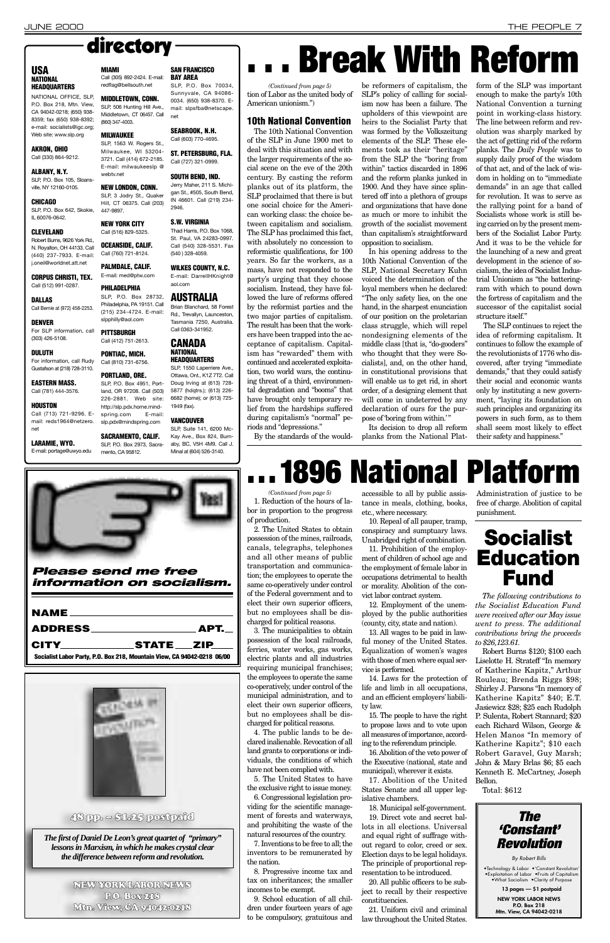1. Reduction of the hours of labor in proportion to the progress of production.

2. The United States to obtain possession of the mines, railroads, canals, telegraphs, telephones and all other means of public transportation and communication; the employees to operate the same co-operatively under control of the Federal government and to elect their own superior officers, but no employees shall be discharged for political reasons.

3. The municipalities to obtain possession of the local railroads, ferries, water works, gas works, electric plants and all industries requiring municipal franchises; the employees to operate the same co-operatively, under control of the municipal administration, and to elect their own superior officers, but no employees shall be discharged for political reasons. 4. The public lands to be declared inalienable. Revocation of all land grants to corporations or individuals, the conditions of which have not been complied with. 5. The United States to have the exclusive right to issue money. 6. Congressional legislation providing for the scientific management of forests and waterways, and prohibiting the waste of the natural resources of the country.

7. Inventions to be free to all; the inventors to be remunerated by the nation.

8. Progressive income tax and tax on inheritances; the smaller incomes to be exempt.

9. School education of all children under fourteen years of age to be compulsory, gratuitous and

accessible to all by public assistance in meals, clothing, books, etc., where necessary.

10. Repeal of all pauper, tramp, conspiracy and sumptuary laws. Unabridged right of combination.

11. Prohibition of the employment of children of school age and the employment of female labor in occupations detrimental to health or morality. Abolition of the convict labor contract system.

12. Employment of the unemployed by the public authorities (county, city, state and nation).

13. All wages to be paid in lawful money of the United States. Equalization of women's wages with those of men where equal service is performed.

14. Laws for the protection of life and limb in all occupations,

and an efficient employers' liability law.

15. The people to have the right to propose laws and to vote upon all measures of importance, according to the referendum principle.

16. Abolition of the veto power of the Executive (national, state and municipal), wherever it exists.

17. Abolition of the United States Senate and all upper legislative chambers.

18. Municipal self-government. 19. Direct vote and secret ballots in all elections. Universal and equal right of suffrage without regard to color, creed or sex. Election days to be legal holidays. The principle of proportional representation to be introduced.

20. All public officers to be subject to recall by their respective constituencies.

21. Uniform civil and criminal law throughout the United States. Administration of justice to be free of charge. Abolition of capital punishment.

| <b>Please send me free</b>       |
|----------------------------------|
| <i>information on socialism.</i> |

| NAME_________                                                           |           |
|-------------------------------------------------------------------------|-----------|
|                                                                         | АРТ.      |
|                                                                         | STATE ZIP |
| Socialist Labor Party, P.O. Box 218, Mountain View, CA 94042-0218 06/00 |           |



#### **10th National Convention**

The 10th National Convention of the SLP in June 1900 met to deal with this situation and with the larger requirements of the social scene on the eve of the 20th century. By casting the reform planks out of its platform, the SLP proclaimed that there is but one social choice for the American working class: the choice between capitalism and socialism. The SLP has proclaimed this fact, with absolutely no concession to reformistic qualifications, for 100 years. So far the workers, as a mass, have not responded to the party's urging that they choose socialism. Instead, they have followed the lure of reforms offered by the reformist parties and the two major parties of capitalism. The result has been that the workers have been trapped into the acceptance of capitalism. Capitalism has "rewarded" them with continued and accelerated exploitation, two world wars, the continuing threat of a third, environmental degradation and "booms" that have brought only temporary relief from the hardships suffered during capitalism's "normal" periods and "depressions."

By the standards of the would-

be reformers of capitalism, the SLP's policy of calling for socialism now has been a failure. The upholders of this viewpoint are heirs to the Socialist Party that was formed by the Volkszeitung elements of the SLP. These elements took as their "heritage" from the SLP the "boring from within" tactics discarded in 1896 and the reform planks junked in 1900. And they have since splintered off into a plethora of groups and organizations that have done as much or more to inhibit the growth of the socialist movement than capitalism's straightforward opposition to socialism.

In his opening address to the 10th National Convention of the SLP, National Secretary Kuhn voiced the determination of the loyal members when he declared: "The only safety lies, on the one hand, in the sharpest enunciation of our position on the proletarian class struggle, which will repel nondesigning elements of the middle class [that is, "do-gooders" who thought that they were Socialists], and, on the other hand, in constitutional provisions that will enable us to get rid, in short order, of a designing element that will come in undeterred by any declaration of ours for the purpose of 'boring from within.'"

Its decision to drop all reform planks from the National Platform of the SLP was important enough to make the party's 10th National Convention a turning point in working-class history. The line between reform and revolution was sharply marked by the act of getting rid of the reform planks. The *Daily People* was to supply daily proof of the wisdom of that act, and of the lack of wisdom in holding on to "immediate demands" in an age that called for revolution. It was to serve as the rallying point for a band of Socialists whose work is still being carried on by the present members of the Socialist Labor Party. And it was to be the vehicle for the launching of a new and great development in the science of socialism, the idea of Socialist Industrial Unionism as "the batteringram with which to pound down the fortress of capitalism and the successor of the capitalist social structure itself."

tion of Labor as the united body of American unionism.") *(Continued from page 5)*

> The SLP continues to reject the idea of reforming capitalism. It continues to follow the example of the revolutionists of 1776 who discovered, after trying "immediate demands," that they could satisfy their social and economic wants only by instituting a new government, "laying its foundation on such principles and organizing its powers in such form, as to them shall seem most likely to effect their safety and happiness."

#### **USA NATIONAL HEADQUARTERS**

# **. . . Break With Reform**

NATIONAL OFFICE, SLP, P.O. Box 218, Mtn. View, CA 94042-0218; (650) 938- 8359; fax (650) 938-8392; e-mail: socialists@igc.org; Web site: www.slp.org

#### **AKRON, OHIO** Call (330) 864-9212.

**ALBANY, N.Y.** SLP, P.O. Box 105, Sloansville, NY 12160-0105.

#### **CHICAGO**

SLP, P.O. Box 642, Skokie, IL 60076-0642.

#### **CLEVELAND**

Robert Burns, 9626 York Rd., N. Royalton, OH 44133. Call (440) 237-7933. E-mail: j.oneil@worldnet.att.net

**CORPUS CHRISTI, TEX.** Call (512) 991-0287.

#### **DALLAS**

Call Bernie at (972) 458-2253.

#### **DENVER**

For SLP information, call (303) 426-5108.

#### **DULUTH**

For information, call Rudy Gustafson at (218) 728-3110.

#### **EASTERN MASS.** Call (781) 444-3576.

**HOUSTON** Call (713) 721-9296. E-

mail: reds1964@netzero. net

**LARAMIE, WYO.** E-mail: portage@uwyo.edu

**MIAMI** Call (305) 892-2424. E-mail: redflag@bellsouth.net

(860) 347-4003.

#### **MILWAUKEE**

webtv.net

#### **NEW LONDON, CONN.** SLP, 3 Jodry St., Quaker

Hill, CT 06375. Call (203) 447-9897. **NEW YORK CITY**

Call (516) 829-5325. **OCEANSIDE, CALIF.** Call (760) 721-8124.

#### **PALMDALE, CALIF.**

E-mail: med@ptw.com **PHILADELPHIA** SLP, P.O. Box 28732, Philadelphia, PA 19151. Call (215) 234-4724. E-mail:

**MIDDLETOWN, CONN.** SLP, 506 Hunting Hill Ave., Middletown, CT 06457. Call Sunnyvale, CA 94086- 0034. (650) 938-8370. Email: slpsfba@netscape. net

slpphilly@aol.com **PITTSBURGH**

#### Call (412) 751-2613. **PONTIAC, MICH.**

SLP, 1563 W. Rogers St., Milwaukee, WI 53204-3721. Call (414) 672-2185. E-mail: milwaukeeslp @ Call (603) 770-4695. **ST. PETERSBURG, FLA.** Call (727) 321-0999.

**PORTLAND, ORE.**

slp.pdx@mindspring.com

mento, CA 95812.

**SAN FRANCISCO BAY AREA**

SLP, P.O. Box 70034,

**SEABROOK, N.H.**

#### Call (810) 731-6756. **HEADQUARTERS** SLP, 1550 Laperriere Ave.,

**SOUTH BEND, IND.** Jerry Maher, 211 S. Michigan St., #505, South Bend, IN 46601. Call (219) 234-

SLP, P.O. Box 4951, Portland, OR 97208. Call (503) 226-2881. Web site: http://slp.pdx.home.mindspring.com E-mail: Ottawa, Ont., K1Z 7T2, Call Doug Irving at (613) 728- 5877 (hdqtrs.); (613) 226- 6682 (home); or (613) 725- 1949 (fax).

2946.

**S.W. VIRGINIA** Thad Harris, P.O. Box 1068, St. Paul, VA 24283-0997. Call (540) 328-5531. Fax

**SACRAMENTO, CALIF.** SLP, P.O. Box 2973, Sacra-SLP, Suite 141, 6200 Mc-Kay Ave., Box 824, Burnaby, BC, V5H 4M9. Call J. Minal at (604) 526-3140.



(540 ) 328-4059.

**WILKES COUNTY, N.C.** E-mail: DarrellHKnight@

aol.com

**AUSTRALIA** Brian Blanchard, 58 Forest Rd., Trevallyn, Launceston, Tasmania 7250, Australia. Call 0363-341952. **CANADA NATIONAL** 

#### **VANCOUVER**

### directory

## **. . . 1896 National Platform**

*(Continued from page 5)*

*The first of Daniel De Leon's great quartet of "primary" lessons in Marxism, in which he makes crystal clear the difference between reform and revolution.*

### 48 pp. – \$1.25 postpaid

NEW YORK LABOR NEWS P.O. Box 218 Mtn. View, CA 94042-0218

*The following contributions to the Socialist Education Fund were received after our May issue went to press. The additional contributions bring the proceeds to \$26,123.61.*

Robert Burns \$120; \$100 each Liselotte H. Strateff "In memory of Katherine Kapitz," Arthur Rouleau; Brenda Riggs \$98; Shirley J. Parsons "In memory of Katherine Kapitz" \$40; E.T. Jasiewicz \$28; \$25 each Rudolph P. Sulenta, Robert Stannard; \$20 each Richard Wilson, George & Helen Manos "In memory of Katherine Kapitz"; \$10 each Robert Garavel, Guy Marsh; John & Mary Brlas \$6; \$5 each Kenneth E. McCartney, Joseph Bellon.

Total: \$612

### **Socialist Education Fund**

#### *The 'Constant' Revolution*

By Robert Bills

•Technology & Labor •'Constant Revolution' •Exploitation of Labor •Fruits of Capitalism •What Socialism •Clarity of Purpose

**13 pages — \$1 postpaid**

**NEW YORK LABOR NEWS P.O. Box 218 Mtn. View, CA 94042-0218**